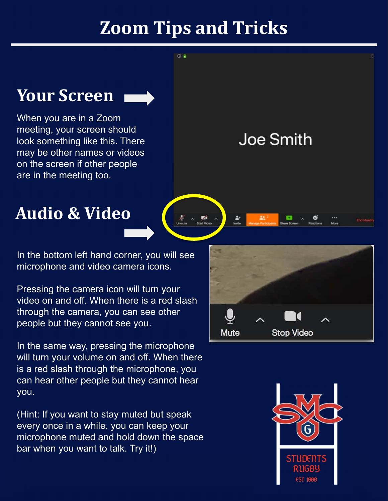## **Zoom Tips and Tricks**

 $\omega$   $\epsilon$ 

#### **Your Screen**



When you are in a Zoom meeting, your screen should look something like this. There may be other names or videos on the screen if other people are in the meeting too.

**Joe Smith** 

۵

### **Audio & Video**

In the bottom left hand corner, you will see microphone and video camera icons.

Pressing the camera icon will turn your video on and off. When there is a red slash through the camera, you can see other people but they cannot see you.

In the same way, pressing the microphone will turn your volume on and off. When there is a red slash through the microphone, you can hear other people but they cannot hear you.

(Hint: If you want to stay muted but speak every once in a while, you can keep your microphone muted and hold down the space bar when you want to talk. Try it!)



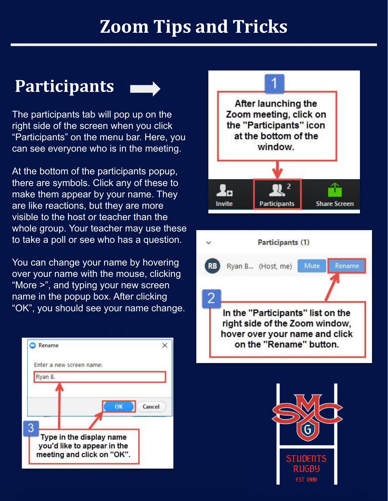## **Zoom Tips and Tricks**

#### **Participants**



The participants tab will pop up on the right side of the screen when you click "Participants" on the menu bar. Here, you can see everyone who is in the meeting.

At the bottom of the participants popup, there are symbols. Click any of these to make them appear by your name. They are like reactions, but they are more visible to the host or teacher than the whole group. Your teacher may use these to take a poll or see who has a question.

You can change your name by hovering over your name with the mouse, clicking "More >", and typing your new screen name in the popup box. After clicking "OK", you should see your name change.